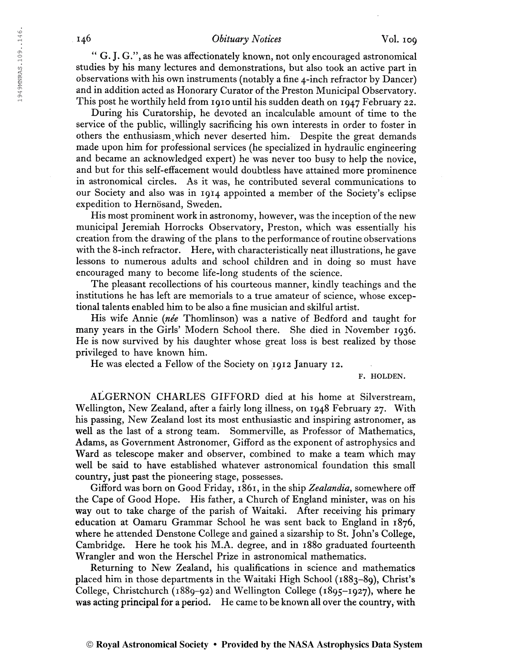## 146 **Obituary Notices** Vol. 109

" G. J. G.", as he was affectionately known, not only encouraged astronomical studies by his many lectures and demonstrations, but also took an active part in observations with his own instruments (notably a fine 4-inch refractor by Dancer) and in addition acted as Honorary Curator of the Preston Municipal Observatory. This post he worthily held from 1910 until his sudden death on 1947 February 22.

During his Curatorship, he devoted an incalculable amount of time to the service of the public, willingly sacrificing his own interests in order to foster in others the enthusiasm,which never deserted him. Despite the great demands made upon him for professional services (he specialized in hydraulic engineering and became an acknowledged expert) he was never too busy to help the novice, and but for this self-effacement would doubtless have attained more prominence in astronomical circles. As it was, he contributed several communications to our Society and also was in 1914 appointed a member of the Society's eclipse expedition to Hernösand, Sweden.

His most prominent work in astronomy, however, was the inception of the new municipal Jeremiah Horrocks Observatory, Preston, which was essentially his creation from the drawing of the plans to the performance of routine observations with the 8-inch refractor. Here, with characteristically neat illustrations, he gave lessons to numerous adults and school children and in doing so must have encouraged many to become life-long students of the science.

The pleasant recollections of his courteous manner, kindly teachings and the institutions he has left are memorials to a true amateur of science, whose exceptional talents enabled him to be also a fine musician and skilful artist.

His wife Annie {née Thomlinson) was a native of Bedford and taught for many years in the Girls' Modern School there. She died in November 1936. He is now survived by his daughter whose great loss is best realized by those privileged to have known him.

He was elected a Fellow of the Society on 1912 January 12.

F. HOLDEN.

ALGERNON CHARLES GIFFORD died at his home at Silverstream, Wellington, New Zealand, after a fairly long illness, on 1948 February 27. With his passing, New Zealand lost its most enthusiastic and inspiring astronomer, as well as the last of a strong team. Sommerville, as Professor of Mathematics, Adams, as Government Astronomer, Gifford as the exponent of astrophysics and Ward as telescope maker and observer, combined to make a team which may well be said to have established whatever astronomical foundation this small country, just past the pioneering stage, possesses.

Gifford was born on Good Friday, 1861, in the ship Zealandia, somewhere off the Cape of Good Hope. His father, a Church of England minister, was on his way out to take charge of the parish of Waitaki. After receiving his primary education at Oamaru Grammar School he was sent back to England in 1876, where he attended Denstone College and gained a sizarship to St. John's College, Cambridge. Here he took his M.A. degree, and in 1880 graduated fourteenth Wrangler and won the Herschel Prize in astronomical mathematics.

Returning to New Zealand, his qualifications in science and mathematics placed him in those departments in the Waitaki High School (1883-89), Christ's College, Christchurch (1889-92) and Wellington College (1895-1927), where he was acting principal for a period. He came to be known all over the country, with

194 9MNRAS.109. .146

1949MNRAS.109..146.